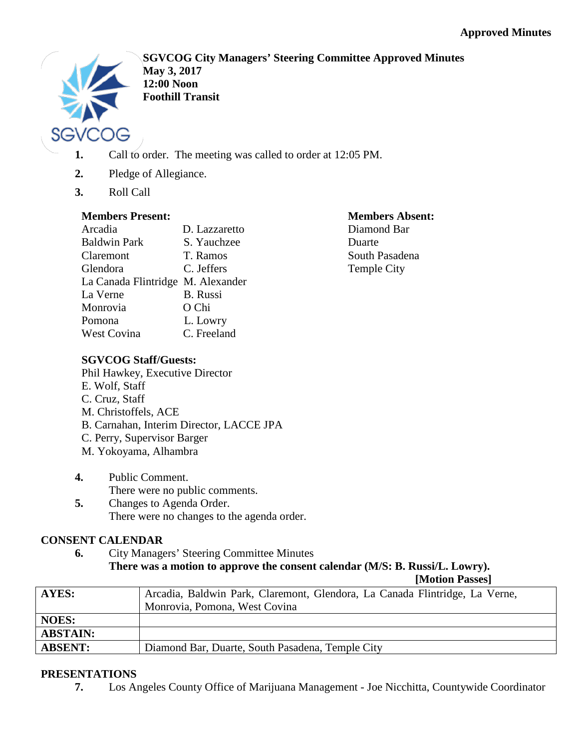

**SGVCOG City Managers' Steering Committee Approved Minutes May 3, 2017 12:00 Noon Foothill Transit**

- **1.** Call to order. The meeting was called to order at 12:05 PM.
- **2.** Pledge of Allegiance.
- **3.** Roll Call

#### **Members Present:**

| Arcadia                           | D. Lazzaretto   |
|-----------------------------------|-----------------|
| <b>Baldwin Park</b>               | S. Yauchzee     |
| Claremont                         | T. Ramos        |
| Glendora                          | C. Jeffers      |
| La Canada Flintridge M. Alexander |                 |
| La Verne                          | <b>B.</b> Russi |
| Monrovia                          | O Chi           |
| Pomona                            | L. Lowry        |
| West Covina                       | C. Freeland     |
|                                   |                 |

**Members Absent:** Diamond Bar Duarte South Pasadena Temple City

### **SGVCOG Staff/Guests:**

- Phil Hawkey, Executive Director E. Wolf, Staff C. Cruz, Staff M. Christoffels, ACE B. Carnahan, Interim Director, LACCE JPA C. Perry, Supervisor Barger M. Yokoyama, Alhambra
- **4.** Public Comment. There were no public comments.
- **5.** Changes to Agenda Order. There were no changes to the agenda order.

# **CONSENT CALENDAR**

**6.** City Managers' Steering Committee Minutes **There was a motion to approve the consent calendar (M/S: B. Russi/L. Lowry).**

**[Motion Passes]**

| <b>AYES:</b>    | Arcadia, Baldwin Park, Claremont, Glendora, La Canada Flintridge, La Verne,<br>Monrovia, Pomona, West Covina |
|-----------------|--------------------------------------------------------------------------------------------------------------|
| <b>NOES:</b>    |                                                                                                              |
| <b>ABSTAIN:</b> |                                                                                                              |
| <b>ABSENT:</b>  | Diamond Bar, Duarte, South Pasadena, Temple City                                                             |

# **PRESENTATIONS**

**7.** Los Angeles County Office of Marijuana Management - Joe Nicchitta, Countywide Coordinator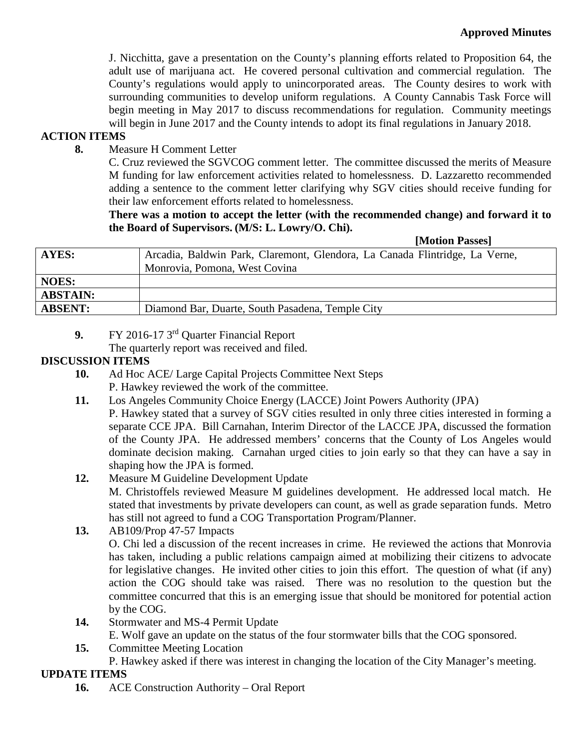**[Motion Passes]**

J. Nicchitta, gave a presentation on the County's planning efforts related to Proposition 64, the adult use of marijuana act. He covered personal cultivation and commercial regulation. The County's regulations would apply to unincorporated areas. The County desires to work with surrounding communities to develop uniform regulations. A County Cannabis Task Force will begin meeting in May 2017 to discuss recommendations for regulation. Community meetings will begin in June 2017 and the County intends to adopt its final regulations in January 2018.

# **ACTION ITEMS**

**8.** Measure H Comment Letter

C. Cruz reviewed the SGVCOG comment letter. The committee discussed the merits of Measure M funding for law enforcement activities related to homelessness. D. Lazzaretto recommended adding a sentence to the comment letter clarifying why SGV cities should receive funding for their law enforcement efforts related to homelessness.

#### **There was a motion to accept the letter (with the recommended change) and forward it to the Board of Supervisors. (M/S: L. Lowry/O. Chi).**

|                 | $11120$ and $1200000$                                                       |
|-----------------|-----------------------------------------------------------------------------|
| <b>AYES:</b>    | Arcadia, Baldwin Park, Claremont, Glendora, La Canada Flintridge, La Verne, |
|                 | Monrovia, Pomona, West Covina                                               |
| <b>NOES:</b>    |                                                                             |
| <b>ABSTAIN:</b> |                                                                             |
| <b>ABSENT:</b>  | Diamond Bar, Duarte, South Pasadena, Temple City                            |
|                 |                                                                             |

**9.** FY 2016-17 3rd Quarter Financial Report

The quarterly report was received and filed.

### **DISCUSSION ITEMS**

- **10.** Ad Hoc ACE/ Large Capital Projects Committee Next Steps P. Hawkey reviewed the work of the committee.
- **11.** Los Angeles Community Choice Energy (LACCE) Joint Powers Authority (JPA) P. Hawkey stated that a survey of SGV cities resulted in only three cities interested in forming a separate CCE JPA. Bill Carnahan, Interim Director of the LACCE JPA, discussed the formation of the County JPA. He addressed members' concerns that the County of Los Angeles would dominate decision making. Carnahan urged cities to join early so that they can have a say in shaping how the JPA is formed.

## **12.** Measure M Guideline Development Update M. Christoffels reviewed Measure M guidelines development. He addressed local match. He stated that investments by private developers can count, as well as grade separation funds. Metro has still not agreed to fund a COG Transportation Program/Planner.

**13.** AB109/Prop 47-57 Impacts

O. Chi led a discussion of the recent increases in crime. He reviewed the actions that Monrovia has taken, including a public relations campaign aimed at mobilizing their citizens to advocate for legislative changes. He invited other cities to join this effort. The question of what (if any) action the COG should take was raised. There was no resolution to the question but the committee concurred that this is an emerging issue that should be monitored for potential action by the COG.

**14.** Stormwater and MS-4 Permit Update

E. Wolf gave an update on the status of the four stormwater bills that the COG sponsored.

**15.** Committee Meeting Location

P. Hawkey asked if there was interest in changing the location of the City Manager's meeting.

# **UPDATE ITEMS**

**16.** ACE Construction Authority – Oral Report